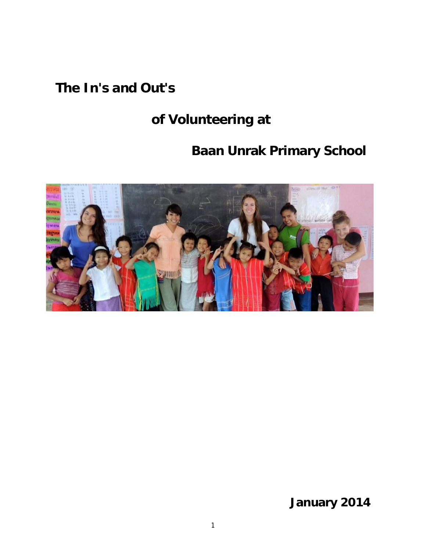## **The In's and Out's**

# **of Volunteering at**

# **Baan Unrak Primary School**



**January 2014**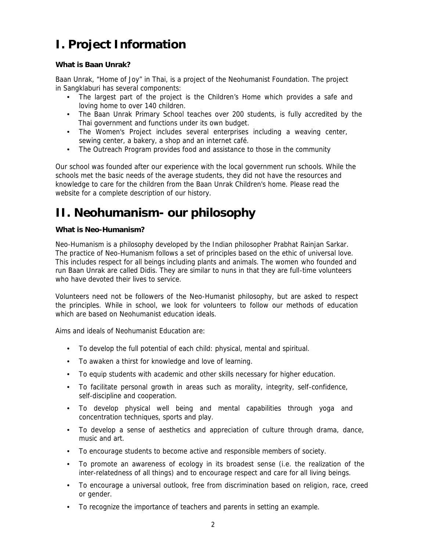## **I. Project Information**

#### **What is Baan Unrak?**

Baan Unrak, "Home of Joy" in Thai, is a project of the Neohumanist Foundation. The project in Sangklaburi has several components:

- The largest part of the project is the Children's Home which provides a safe and loving home to over 140 children.
- The Baan Unrak Primary School teaches over 200 students, is fully accredited by the Thai government and functions under its own budget.
- The Women's Project includes several enterprises including a weaving center, sewing center, a bakery, a shop and an internet café.
- The Outreach Program provides food and assistance to those in the community

Our school was founded after our experience with the local government run schools. While the schools met the basic needs of the average students, they did not have the resources and knowledge to care for the children from the Baan Unrak Children's home. Please read the website for a complete description of our history.

## **II. Neohumanism- our philosophy**

#### **What is Neo-Humanism?**

Neo-Humanism is a philosophy developed by the Indian philosopher Prabhat Rainjan Sarkar. The practice of Neo-Humanism follows a set of principles based on the ethic of universal love. This includes respect for all beings including plants and animals. The women who founded and run Baan Unrak are called Didis. They are similar to nuns in that they are full-time volunteers who have devoted their lives to service.

Volunteers need not be followers of the Neo-Humanist philosophy, but are asked to respect the principles. While in school, we look for volunteers to follow our methods of education which are based on Neohumanist education ideals.

Aims and ideals of Neohumanist Education are:

- To develop the full potential of each child: physical, mental and spiritual.
- To awaken a thirst for knowledge and love of learning.
- To equip students with academic and other skills necessary for higher education.
- To facilitate personal growth in areas such as morality, integrity, self-confidence, self-discipline and cooperation.
- To develop physical well being and mental capabilities through yoga and concentration techniques, sports and play.
- To develop a sense of aesthetics and appreciation of culture through drama, dance, music and art.
- To encourage students to become active and responsible members of society.
- To promote an awareness of ecology in its broadest sense (i.e. the realization of the inter-relatedness of all things) and to encourage respect and care for all living beings.
- To encourage a universal outlook, free from discrimination based on religion, race, creed or gender.
- To recognize the importance of teachers and parents in setting an example.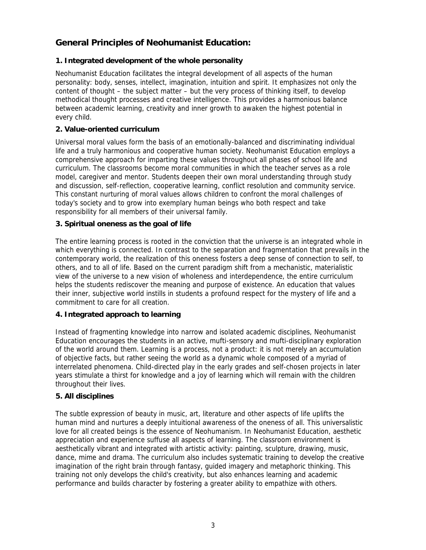### **General Principles of Neohumanist Education:**

#### **1. Integrated development of the whole personality**

Neohumanist Education facilitates the integral development of all aspects of the human personality: body, senses, intellect, imagination, intuition and spirit. It emphasizes not only the content of thought – the subject matter – but the very process of thinking itself, to develop methodical thought processes and creative intelligence. This provides a harmonious balance between academic learning, creativity and inner growth to awaken the highest potential in every child.

#### **2. Value-oriented curriculum**

Universal moral values form the basis of an emotionally-balanced and discriminating individual life and a truly harmonious and cooperative human society. Neohumanist Education employs a comprehensive approach for imparting these values throughout all phases of school life and curriculum. The classrooms become moral communities in which the teacher serves as a role model, caregiver and mentor. Students deepen their own moral understanding through study and discussion, self-reflection, cooperative learning, conflict resolution and community service. This constant nurturing of moral values allows children to confront the moral challenges of today's society and to grow into exemplary human beings who both respect and take responsibility for all members of their universal family.

**3. Spiritual oneness as the goal of life**

The entire learning process is rooted in the conviction that the universe is an integrated whole in which everything is connected. In contrast to the separation and fragmentation that prevails in the contemporary world, the realization of this oneness fosters a deep sense of connection to self, to others, and to all of life. Based on the current paradigm shift from a mechanistic, materialistic view of the universe to a new vision of wholeness and interdependence, the entire curriculum helps the students rediscover the meaning and purpose of existence. An education that values their inner, subjective world instills in students a profound respect for the mystery of life and a commitment to care for all creation.

**4. Integrated approach to learning**

Instead of fragmenting knowledge into narrow and isolated academic disciplines, Neohumanist Education encourages the students in an active, mufti-sensory and mufti-disciplinary exploration of the world around them. Learning is a process, not a product: it is not merely an accumulation of objective facts, but rather seeing the world as a dynamic whole composed of a myriad of interrelated phenomena. Child-directed play in the early grades and self-chosen projects in later years stimulate a thirst for knowledge and a joy of learning which will remain with the children throughout their lives.

#### **5. All disciplines**

The subtle expression of beauty in music, art, literature and other aspects of life uplifts the human mind and nurtures a deeply intuitional awareness of the oneness of all. This universalistic love for all created beings is the essence of Neohumanism. In Neohumanist Education, aesthetic appreciation and experience suffuse all aspects of learning. The classroom environment is aesthetically vibrant and integrated with artistic activity: painting, sculpture, drawing, music, dance, mime and drama. The curriculum also includes systematic training to develop the creative imagination of the right brain through fantasy, guided imagery and metaphoric thinking. This training not only develops the child's creativity, but also enhances learning and academic performance and builds character by fostering a greater ability to empathize with others.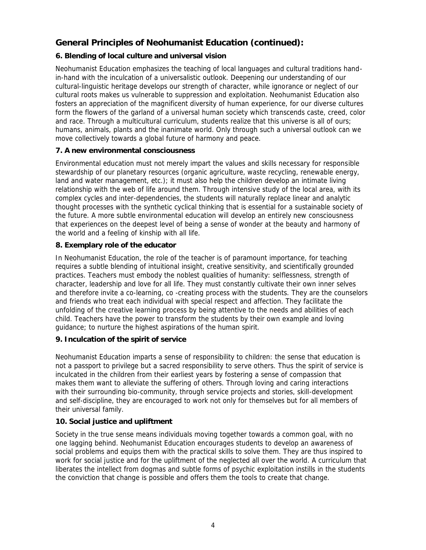## **General Principles of Neohumanist Education (continued):**

#### **6. Blending of local culture and universal vision**

Neohumanist Education emphasizes the teaching of local languages and cultural traditions handin-hand with the inculcation of a universalistic outlook. Deepening our understanding of our cultural-linguistic heritage develops our strength of character, while ignorance or neglect of our cultural roots makes us vulnerable to suppression and exploitation. Neohumanist Education also fosters an appreciation of the magnificent diversity of human experience, for our diverse cultures form the flowers of the garland of a universal human society which transcends caste, creed, color and race. Through a multicultural curriculum, students realize that this universe is all of ours; humans, animals, plants and the inanimate world. Only through such a universal outlook can we move collectively towards a global future of harmony and peace.

#### **7. A new environmental consciousness**

Environmental education must not merely impart the values and skills necessary for responsible stewardship of our planetary resources (organic agriculture, waste recycling, renewable energy, land and water management, etc.); it must also help the children develop an intimate living relationship with the web of life around them. Through intensive study of the local area, with its complex cycles and inter-dependencies, the students will naturally replace linear and analytic thought processes with the synthetic cyclical thinking that is essential for a sustainable society of the future. A more subtle environmental education will develop an entirely new consciousness that experiences on the deepest level of being a sense of wonder at the beauty and harmony of the world and a feeling of kinship with all life.

#### **8. Exemplary role of the educator**

In Neohumanist Education, the role of the teacher is of paramount importance, for teaching requires a subtle blending of intuitional insight, creative sensitivity, and scientifically grounded practices. Teachers must embody the noblest qualities of humanity: selflessness, strength of character, leadership and love for all life. They must constantly cultivate their own inner selves and therefore invite a co-learning, co -creating process with the students. They are the counselors and friends who treat each individual with special respect and affection. They facilitate the unfolding of the creative learning process by being attentive to the needs and abilities of each child. Teachers have the power to transform the students by their own example and loving guidance; to nurture the highest aspirations of the human spirit.

#### **9. Inculcation of the spirit of service**

Neohumanist Education imparts a sense of responsibility to children: the sense that education is not a passport to privilege but a sacred responsibility to serve others. Thus the spirit of service is inculcated in the children from their earliest years by fostering a sense of compassion that makes them want to alleviate the suffering of others. Through loving and caring interactions with their surrounding bio-community, through service projects and stories, skill-development and self-discipline, they are encouraged to work not only for themselves but for all members of their universal family.

#### **10. Social justice and upliftment**

Society in the true sense means individuals moving together towards a common goal, with no one lagging behind. Neohumanist Education encourages students to develop an awareness of social problems and equips them with the practical skills to solve them. They are thus inspired to work for social justice and for the upliftment of the neglected all over the world. A curriculum that liberates the intellect from dogmas and subtle forms of psychic exploitation instills in the students the conviction that change is possible and offers them the tools to create that change.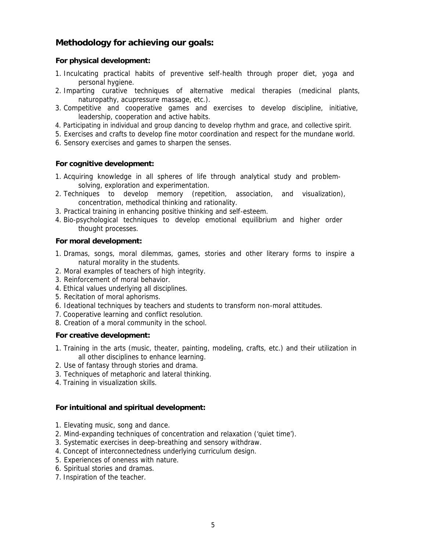### **Methodology for achieving our goals:**

**For physical development:**

- 1. Inculcating practical habits of preventive self-health through proper diet, yoga and personal hygiene.
- 2. Imparting curative techniques of alternative medical therapies (medicinal plants, naturopathy, acupressure massage, etc.).
- 3. Competitive and cooperative games and exercises to develop discipline, initiative, leadership, cooperation and active habits.
- 4. Participating in individual and group dancing to develop rhythm and grace, and collective spirit.
- 5. Exercises and crafts to develop fine motor coordination and respect for the mundane world.
- 6. Sensory exercises and games to sharpen the senses.

**For cognitive development:**

- 1. Acquiring knowledge in all spheres of life through analytical study and problemsolving, exploration and experimentation.
- 2. Techniques to develop memory (repetition, association, and visualization), concentration, methodical thinking and rationality.
- 3. Practical training in enhancing positive thinking and self-esteem.
- 4. Bio-psychological techniques to develop emotional equilibrium and higher order thought processes.

**For moral development:**

- 1. Dramas, songs, moral dilemmas, games, stories and other literary forms to inspire a natural morality in the students.
- 2. Moral examples of teachers of high integrity.
- 3. Reinforcement of moral behavior.
- 4. Ethical values underlying all disciplines.
- 5. Recitation of moral aphorisms.
- 6. Ideational techniques by teachers and students to transform non-moral attitudes.
- 7. Cooperative learning and conflict resolution.
- 8. Creation of a moral community in the school.

**For creative development:**

- 1. Training in the arts (music, theater, painting, modeling, crafts, etc.) and their utilization in all other disciplines to enhance learning.
- 2. Use of fantasy through stories and drama.
- 3. Techniques of metaphoric and lateral thinking.
- 4. Training in visualization skills.

**For intuitional and spiritual development:**

- 1. Elevating music, song and dance.
- 2. Mind-expanding techniques of concentration and relaxation ('quiet time').
- 3. Systematic exercises in deep-breathing and sensory withdraw.
- 4. Concept of interconnectedness underlying curriculum design.
- 5. Experiences of oneness with nature.
- 6. Spiritual stories and dramas.
- 7. Inspiration of the teacher.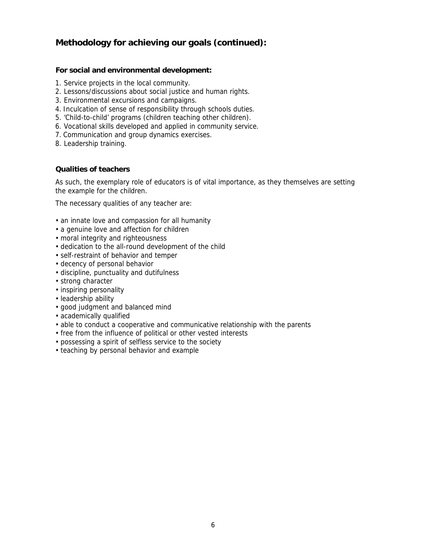### **Methodology for achieving our goals (continued):**

**For social and environmental development:**

- 1. Service projects in the local community.
- 2. Lessons/discussions about social justice and human rights.
- 3. Environmental excursions and campaigns.
- 4. Inculcation of sense of responsibility through schools duties.
- 5. 'Child-to-child' programs (children teaching other children).
- 6. Vocational skills developed and applied in community service.
- 7. Communication and group dynamics exercises.
- 8. Leadership training.

#### **Qualities of teachers**

As such, the exemplary role of educators is of vital importance, as they themselves are setting the example for the children.

The necessary qualities of any teacher are:

- an innate love and compassion for all humanity
- a genuine love and affection for children
- moral integrity and righteousness
- dedication to the all-round development of the child
- self-restraint of behavior and temper
- decency of personal behavior
- discipline, punctuality and dutifulness
- strong character
- inspiring personality
- leadership ability
- good judgment and balanced mind
- academically qualified
- able to conduct a cooperative and communicative relationship with the parents
- free from the influence of political or other vested interests
- possessing a spirit of selfless service to the society
- teaching by personal behavior and example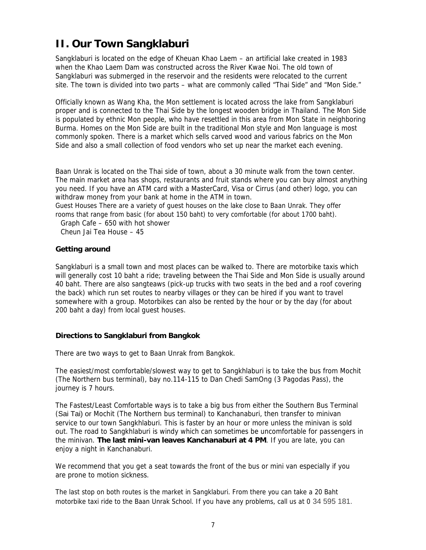## **II. Our Town Sangklaburi**

Sangklaburi is located on the edge of Kheuan Khao Laem – an artificial lake created in 1983 when the Khao Laem Dam was constructed across the River Kwae Noi. The old town of Sangklaburi was submerged in the reservoir and the residents were relocated to the current site. The town is divided into two parts – what are commonly called "Thai Side" and "Mon Side."

Officially known as Wang Kha, the Mon settlement is located across the lake from Sangklaburi proper and is connected to the Thai Side by the longest wooden bridge in Thailand. The Mon Side is populated by ethnic Mon people, who have resettled in this area from Mon State in neighboring Burma. Homes on the Mon Side are built in the traditional Mon style and Mon language is most commonly spoken. There is a market which sells carved wood and various fabrics on the Mon Side and also a small collection of food vendors who set up near the market each evening.

Baan Unrak is located on the Thai side of town, about a 30 minute walk from the town center. The main market area has shops, restaurants and fruit stands where you can buy almost anything you need. If you have an ATM card with a MasterCard, Visa or Cirrus (and other) logo, you can withdraw money from your bank at home in the ATM in town.

Guest Houses There are a variety of guest houses on the lake close to Baan Unrak. They offer rooms that range from basic (for about 150 baht) to very comfortable (for about 1700 baht).

Graph Cafe – 650 with hot shower

Cheun Jai Tea House – 45

#### **Getting around**

Sangklaburi is a small town and most places can be walked to. There are motorbike taxis which will generally cost 10 baht a ride; traveling between the Thai Side and Mon Side is usually around 40 baht. There are also sangteaws (pick-up trucks with two seats in the bed and a roof covering the back) which run set routes to nearby villages or they can be hired if you want to travel somewhere with a group. Motorbikes can also be rented by the hour or by the day (for about 200 baht a day) from local guest houses.

#### **Directions to Sangklaburi from Bangkok**

There are two ways to get to Baan Unrak from Bangkok.

The easiest/most comfortable/slowest way to get to Sangkhlaburi is to take the bus from Mochit (The Northern bus terminal), bay no.114-115 to Dan Chedi SamOng (3 Pagodas Pass), the journey is 7 hours.

The Fastest/Least Comfortable ways is to take a big bus from either the Southern Bus Terminal (Sai Tai) or Mochit (The Northern bus terminal) to Kanchanaburi, then transfer to minivan service to our town Sangkhlaburi. This is faster by an hour or more unless the minivan is sold out. The road to Sangkhlaburi is windy which can sometimes be uncomfortable for passengers in the minivan. The last mini-van leaves Kanchanaburi at 4 PM. If you are late, you can enjoy a night in Kanchanaburi.

We recommend that you get a seat towards the front of the bus or mini van especially if you are prone to motion sickness.

The last stop on both routes is the market in Sangklaburi. From there you can take a 20 Baht motorbike taxi ride to the Baan Unrak School. If you have any problems, call us at 0 34 595 181.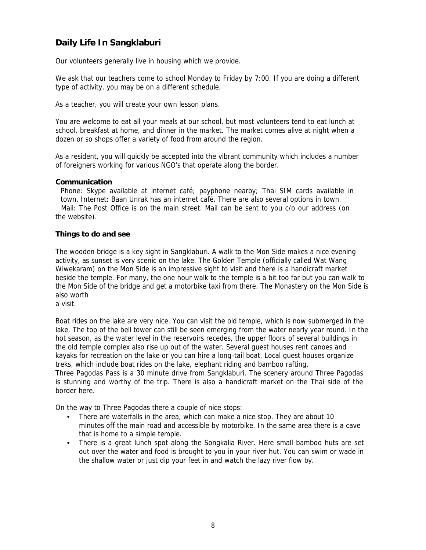## **Daily Life In Sangklaburi**

Our volunteers generally live in housing which we provide.

We ask that our teachers come to school Monday to Friday by 7:00. If you are doing a different type of activity, you may be on a different schedule.

As a teacher, you will create your own lesson plans.

You are welcome to eat all your meals at our school, but most volunteers tend to eat lunch at school, breakfast at home, and dinner in the market. The market comes alive at night when a dozen or so shops offer a variety of food from around the region.

As a resident, you will quickly be accepted into the vibrant community which includes a number of foreigners working for various NGO's that operate along the border.

#### **Communication**

Phone: Skype available at internet café; payphone nearby; Thai SIM cards available in town. Internet: Baan Unrak has an internet café. There are also several options in town. Mail: The Post Office is on the main street. Mail can be sent to you c/o our address (on the website).

#### **Things to do and see**

The wooden bridge is a key sight in Sangklaburi. A walk to the Mon Side makes a nice evening activity, as sunset is very scenic on the lake. The Golden Temple (officially called Wat Wang Wiwekaram) on the Mon Side is an impressive sight to visit and there is a handicraft market beside the temple. For many, the one hour walk to the temple is a bit too far but you can walk to the Mon Side of the bridge and get a motorbike taxi from there. The Monastery on the Mon Side is also worth

a visit.

Boat rides on the lake are very nice. You can visit the old temple, which is now submerged in the lake. The top of the bell tower can still be seen emerging from the water nearly year round. In the hot season, as the water level in the reservoirs recedes, the upper floors of several buildings in the old temple complex also rise up out of the water. Several guest houses rent canoes and kayaks for recreation on the lake or you can hire a long-tail boat. Local guest houses organize treks, which include boat rides on the lake, elephant riding and bamboo rafting.

Three Pagodas Pass is a 30 minute drive from Sangklaburi. The scenery around Three Pagodas is stunning and worthy of the trip. There is also a handicraft market on the Thai side of the border here.

On the way to Three Pagodas there a couple of nice stops:

- There are waterfalls in the area, which can make a nice stop. They are about 10 minutes off the main road and accessible by motorbike. In the same area there is a cave that is home to a simple temple.
- There is a great lunch spot along the Songkalia River. Here small bamboo huts are set out over the water and food is brought to you in your river hut. You can swim or wade in the shallow water or just dip your feet in and watch the lazy river flow by.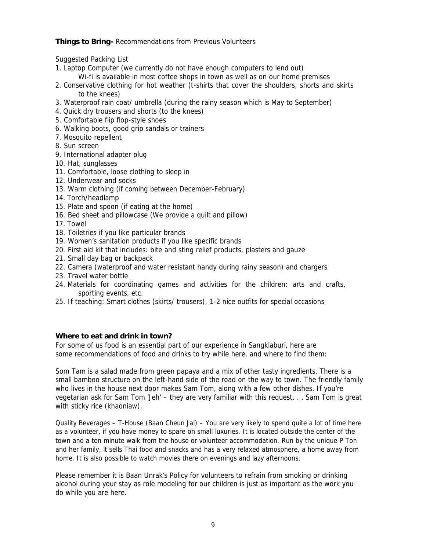**Things to Bring-** Recommendations from Previous Volunteers

Suggested Packing List

- 1. Laptop Computer (we currently do not have enough computers to lend out)
	- Wi-fi is available in most coffee shops in town as well as on our home premises
- 2. Conservative clothing for hot weather (t-shirts that cover the shoulders, shorts and skirts to the knees)
- 3. Waterproof rain coat/ umbrella (during the rainy season which is May to September)
- 4. Quick dry trousers and shorts (to the knees)
- 5. Comfortable flip flop-style shoes
- 6. Walking boots, good grip sandals or trainers
- 7. Mosquito repellent
- 8. Sun screen
- 9. International adapter plug
- 10. Hat, sunglasses
- 11. Comfortable, loose clothing to sleep in
- 12. Underwear and socks
- 13. Warm clothing (if coming between December-February)
- 14. Torch/headlamp
- 15. Plate and spoon (if eating at the home)
- 16. Bed sheet and pillowcase (We provide a quilt and pillow)
- 17. Towel
- 18. Toiletries if you like particular brands
- 19. Women's sanitation products if you like specific brands
- 20. First aid kit that includes: bite and sting relief products, plasters and gauze
- 21. Small day bag or backpack
- 22. Camera (waterproof and water resistant handy during rainy season) and chargers
- 23. Travel water bottle
- 24. Materials for coordinating games and activities for the children: arts and crafts, sporting events, etc.
- 25. If teaching: Smart clothes (skirts/ trousers), 1-2 nice outfits for special occasions

**Where to eat and drink in town?**

For some of us food is an essential part of our experience in Sangklaburi, here are some recommendations of food and drinks to try while here, and where to find them:

Som Tam is a salad made from green papaya and a mix of other tasty ingredients. There is a small bamboo structure on the left-hand side of the road on the way to town. The friendly family who lives in the house next door makes Sam Tom, along with a few other dishes. If you're vegetarian ask for Sam Tom 'Jeh' – they are very familiar with this request. . . Sam Tom is great with sticky rice (khaoniaw).

Quality Beverages – T-House (Baan Cheun Jai) – You are very likely to spend quite a lot of time here as a volunteer, if you have money to spare on small luxuries. It is located outside the center of the town and a ten minute walk from the house or volunteer accommodation. Run by the unique P Ton and her family, it sells Thai food and snacks and has a very relaxed atmosphere, a home away from home. It is also possible to watch movies there on evenings and lazy afternoons.

Please remember it is Baan Unrak's Policy for volunteers to refrain from smoking or drinking alcohol during your stay as role modeling for our children is just as important as the work you do while you are here.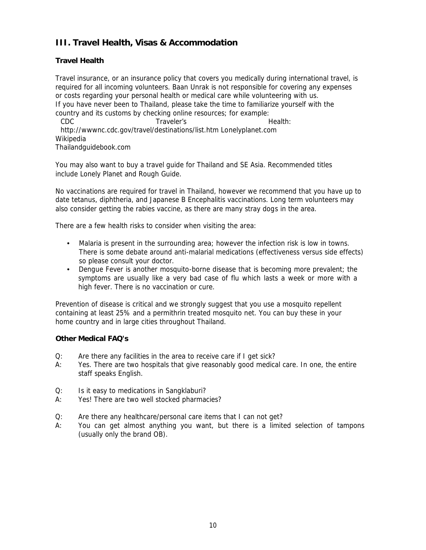### III. Travel Health, Visas & Accommodation

#### Travel Health

Travel insurance, or an insurance policy that covers you medically during international travel, is required for all incoming volunteers. Baan Unrak is not responsible for covering any expenses or costs regarding your personal health or medical care while volunteering with us. If you have never been to Thailand, please take the time to familiarize yourself with the country and its customs by checking online resources; for example: CDC Traveler,s France Health: [http://wwwnc.cdc.gov/travel/destinations/list.htm L](http://wwwnc.cdc.gov/travel/destinations/list.htm)o nelyplanet.com Wikipedia Thailandguidebook.com

You may also want to buy a travel guide for Thailand and SE Asia. Recommended titles include Lonely Planet and Rough Guide.

No vaccinations are required for travel in Thailand, however we recommend that you have up to date tetanus, diphtheria, and Japanese B Encephalitis vaccinations. Long term volunteers may also consider getting the rabies vaccine, as there are many stray dogs in the area.

There are a few health risks to consider when visiting the area:

- $\epsilon$  Malaria is present in the surrounding area; however the infection risk is low in towns. There is some debate around anti-malarial medications (effectiveness versus side efects) so please consult your doctor.
- € Dengue Fever is another mosquito-borne disease that is becoming more prevalent; the symptoms are usually like a very bad case of flu which lasts a week or more with a high fever. There is no vaccination or cure.

Prevention of disease is critical and we strongly suggest that you use a mosquito repellent containing at least 25% and a permithrin treated mosquito net. You can buy these in your home country and in large cities throughout Thailand.

Other Medical FAQ's

- Q: Are there any facilities in the area to receive care if I get sick?
- A: Yes. There are two hospitals that give reasonably good medical care. In one, the entire staff speaks English.
- Q: Is it easy to medications in Sangklaburi?
- A: Yes! There are two well stocked pharmacies?
- Q: Are there any healthcare/personal care items that I can not get?
- A: You can get almost anything you want, but there is a limited selection of tampons (usually only the brand OB).